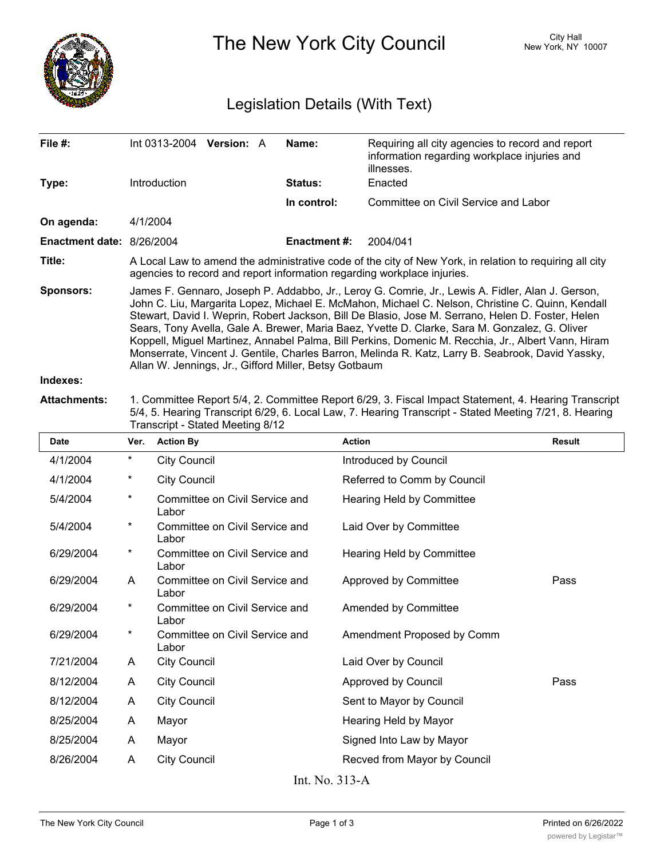

The New York City Council New York, NY 10007

## Legislation Details (With Text)

| File $#$ :                | Int 0313-2004                                                                                                                                                                                                                                                                                                                                                                                                                                                                                                                                                                                                                                                                  | <b>Version: A</b> |  | Name:               | Requiring all city agencies to record and report<br>information regarding workplace injuries and<br>illnesses. |  |  |
|---------------------------|--------------------------------------------------------------------------------------------------------------------------------------------------------------------------------------------------------------------------------------------------------------------------------------------------------------------------------------------------------------------------------------------------------------------------------------------------------------------------------------------------------------------------------------------------------------------------------------------------------------------------------------------------------------------------------|-------------------|--|---------------------|----------------------------------------------------------------------------------------------------------------|--|--|
| Type:                     | <b>Introduction</b>                                                                                                                                                                                                                                                                                                                                                                                                                                                                                                                                                                                                                                                            |                   |  | <b>Status:</b>      | Enacted                                                                                                        |  |  |
|                           |                                                                                                                                                                                                                                                                                                                                                                                                                                                                                                                                                                                                                                                                                |                   |  | In control:         | Committee on Civil Service and Labor                                                                           |  |  |
| On agenda:                | 4/1/2004                                                                                                                                                                                                                                                                                                                                                                                                                                                                                                                                                                                                                                                                       |                   |  |                     |                                                                                                                |  |  |
| Enactment date: 8/26/2004 |                                                                                                                                                                                                                                                                                                                                                                                                                                                                                                                                                                                                                                                                                |                   |  | <b>Enactment #:</b> | 2004/041                                                                                                       |  |  |
| Title:                    | A Local Law to amend the administrative code of the city of New York, in relation to requiring all city<br>agencies to record and report information regarding workplace injuries.                                                                                                                                                                                                                                                                                                                                                                                                                                                                                             |                   |  |                     |                                                                                                                |  |  |
| <b>Sponsors:</b>          | James F. Gennaro, Joseph P. Addabbo, Jr., Leroy G. Comrie, Jr., Lewis A. Fidler, Alan J. Gerson,<br>John C. Liu, Margarita Lopez, Michael E. McMahon, Michael C. Nelson, Christine C. Quinn, Kendall<br>Stewart, David I. Weprin, Robert Jackson, Bill De Blasio, Jose M. Serrano, Helen D. Foster, Helen<br>Sears, Tony Avella, Gale A. Brewer, Maria Baez, Yvette D. Clarke, Sara M. Gonzalez, G. Oliver<br>Koppell, Miguel Martinez, Annabel Palma, Bill Perkins, Domenic M. Recchia, Jr., Albert Vann, Hiram<br>Monserrate, Vincent J. Gentile, Charles Barron, Melinda R. Katz, Larry B. Seabrook, David Yassky,<br>Allan W. Jennings, Jr., Gifford Miller, Betsy Gotbaum |                   |  |                     |                                                                                                                |  |  |
| Indexes:                  |                                                                                                                                                                                                                                                                                                                                                                                                                                                                                                                                                                                                                                                                                |                   |  |                     |                                                                                                                |  |  |

**Attachments:** 1. Committee Report 5/4, 2. Committee Report 6/29, 3. Fiscal Impact Statement, 4. Hearing Transcript 5/4, 5. Hearing Transcript 6/29, 6. Local Law, 7. Hearing Transcript - Stated Meeting 7/21, 8. Hearing Transcript - Stated Meeting 8/12

| <b>Date</b>                             | Ver.     | <b>Action By</b>                        | <b>Action</b>                    | <b>Result</b> |  |  |  |  |
|-----------------------------------------|----------|-----------------------------------------|----------------------------------|---------------|--|--|--|--|
| 4/1/2004                                | *        | <b>City Council</b>                     | Introduced by Council            |               |  |  |  |  |
| 4/1/2004                                | *        | <b>City Council</b>                     | Referred to Comm by Council      |               |  |  |  |  |
| 5/4/2004                                | $^\star$ | Committee on Civil Service and<br>Labor | Hearing Held by Committee        |               |  |  |  |  |
| 5/4/2004                                | *        | Committee on Civil Service and<br>Labor | Laid Over by Committee           |               |  |  |  |  |
| 6/29/2004                               | *        | Committee on Civil Service and<br>Labor | <b>Hearing Held by Committee</b> |               |  |  |  |  |
| 6/29/2004                               | A        | Committee on Civil Service and<br>Labor | Approved by Committee            | Pass          |  |  |  |  |
| 6/29/2004                               | *        | Committee on Civil Service and<br>Labor | Amended by Committee             |               |  |  |  |  |
| 6/29/2004                               | *        | Committee on Civil Service and<br>Labor | Amendment Proposed by Comm       |               |  |  |  |  |
| 7/21/2004                               | A        | <b>City Council</b>                     | Laid Over by Council             |               |  |  |  |  |
| 8/12/2004                               | A        | <b>City Council</b>                     | Approved by Council              | Pass          |  |  |  |  |
| 8/12/2004                               | A        | <b>City Council</b>                     | Sent to Mayor by Council         |               |  |  |  |  |
| 8/25/2004                               | A        | Mayor                                   | Hearing Held by Mayor            |               |  |  |  |  |
| 8/25/2004                               | A        | Mayor                                   | Signed Into Law by Mayor         |               |  |  |  |  |
| 8/26/2004                               | A        | <b>City Council</b>                     | Recved from Mayor by Council     |               |  |  |  |  |
| $T_{\text{max}}$ NT <sub>2</sub> 0.10 A |          |                                         |                                  |               |  |  |  |  |

Int. No. 313-A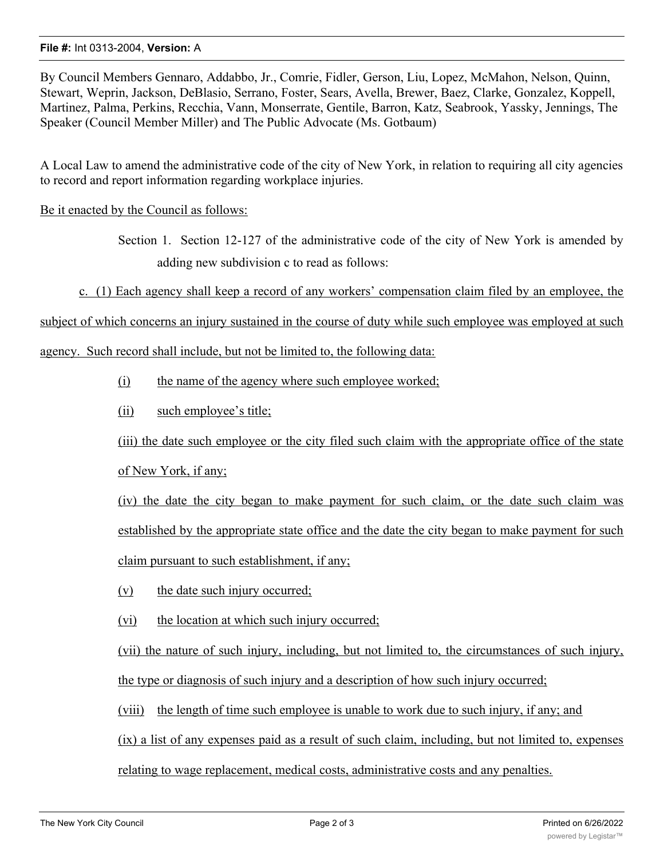## **File #:** Int 0313-2004, **Version:** A

By Council Members Gennaro, Addabbo, Jr., Comrie, Fidler, Gerson, Liu, Lopez, McMahon, Nelson, Quinn, Stewart, Weprin, Jackson, DeBlasio, Serrano, Foster, Sears, Avella, Brewer, Baez, Clarke, Gonzalez, Koppell, Martinez, Palma, Perkins, Recchia, Vann, Monserrate, Gentile, Barron, Katz, Seabrook, Yassky, Jennings, The Speaker (Council Member Miller) and The Public Advocate (Ms. Gotbaum)

A Local Law to amend the administrative code of the city of New York, in relation to requiring all city agencies to record and report information regarding workplace injuries.

## Be it enacted by the Council as follows:

Section 1. Section 12-127 of the administrative code of the city of New York is amended by adding new subdivision c to read as follows:

c. (1) Each agency shall keep a record of any workers' compensation claim filed by an employee, the

subject of which concerns an injury sustained in the course of duty while such employee was employed at such

agency. Such record shall include, but not be limited to, the following data:

(i) the name of the agency where such employee worked;

(ii) such employee's title;

(iii) the date such employee or the city filed such claim with the appropriate office of the state of New York, if any;

(iv) the date the city began to make payment for such claim, or the date such claim was established by the appropriate state office and the date the city began to make payment for such claim pursuant to such establishment, if any;

(v) the date such injury occurred;

(vi) the location at which such injury occurred;

(vii) the nature of such injury, including, but not limited to, the circumstances of such injury, the type or diagnosis of such injury and a description of how such injury occurred;

(viii) the length of time such employee is unable to work due to such injury, if any; and

(ix) a list of any expenses paid as a result of such claim, including, but not limited to, expenses

relating to wage replacement, medical costs, administrative costs and any penalties.